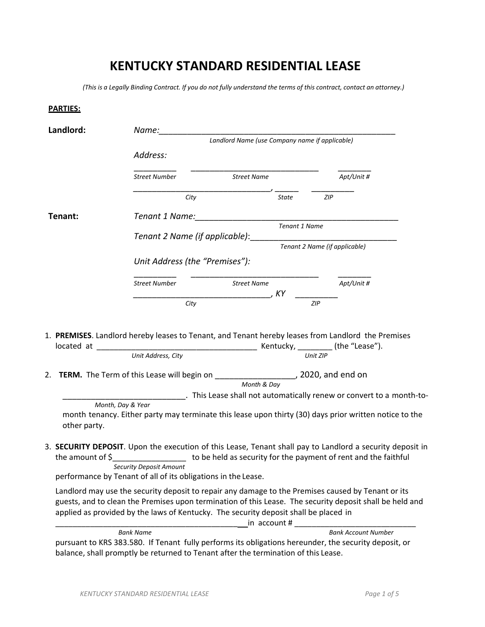## **KENTUCKY STANDARD RESIDENTIAL LEASE**

(This is a Legally Binding Contract. If you do not fully understand the terms of this contract, contact an attorney.)

## **PARTIES:**

|                                |                                                                                                 | Name:<br>Landlord Name (use Company name if applicable) |                      |                                                                                                                                                                                                                                |  |  |
|--------------------------------|-------------------------------------------------------------------------------------------------|---------------------------------------------------------|----------------------|--------------------------------------------------------------------------------------------------------------------------------------------------------------------------------------------------------------------------------|--|--|
|                                | Address:                                                                                        |                                                         |                      |                                                                                                                                                                                                                                |  |  |
|                                |                                                                                                 |                                                         |                      |                                                                                                                                                                                                                                |  |  |
|                                | <b>Street Number</b>                                                                            | <b>Street Name</b>                                      |                      | Apt/Unit #                                                                                                                                                                                                                     |  |  |
|                                | City                                                                                            |                                                         | State                | <b>ZIP</b>                                                                                                                                                                                                                     |  |  |
| Tenant:                        | Tenant 1 Name:                                                                                  |                                                         |                      |                                                                                                                                                                                                                                |  |  |
| Tenant 2 Name (if applicable): |                                                                                                 |                                                         | <b>Tenant 1 Name</b> |                                                                                                                                                                                                                                |  |  |
|                                |                                                                                                 | Tenant 2 Name (if applicable)                           |                      |                                                                                                                                                                                                                                |  |  |
|                                | Unit Address (the "Premises"):                                                                  |                                                         |                      |                                                                                                                                                                                                                                |  |  |
|                                | <b>Street Number</b>                                                                            | <b>Street Name</b>                                      |                      | Apt/Unit #                                                                                                                                                                                                                     |  |  |
|                                |                                                                                                 |                                                         |                      |                                                                                                                                                                                                                                |  |  |
|                                | City                                                                                            |                                                         |                      | ZIP                                                                                                                                                                                                                            |  |  |
| located at                     |                                                                                                 |                                                         |                      | 1. PREMISES. Landlord hereby leases to Tenant, and Tenant hereby leases from Landlord the Premises                                                                                                                             |  |  |
|                                | Unit Address, City                                                                              |                                                         |                      | Unit ZIP                                                                                                                                                                                                                       |  |  |
|                                | 2. TERM. The Term of this Lease will begin on ______________________, 2020, and end on          |                                                         |                      |                                                                                                                                                                                                                                |  |  |
|                                |                                                                                                 | Month & Day                                             |                      |                                                                                                                                                                                                                                |  |  |
| other party.                   | Month, Day & Year                                                                               |                                                         |                      | _______. This Lease shall not automatically renew or convert to a month-to-<br>month tenancy. Either party may terminate this lease upon thirty (30) days prior written notice to the                                          |  |  |
| the amount of \$               |                                                                                                 |                                                         |                      | 3. SECURITY DEPOSIT. Upon the execution of this Lease, Tenant shall pay to Landlord a security deposit in<br>to be held as security for the payment of rent and the faithful                                                   |  |  |
|                                | <b>Security Deposit Amount</b><br>performance by Tenant of all of its obligations in the Lease. |                                                         |                      |                                                                                                                                                                                                                                |  |  |
|                                | applied as provided by the laws of Kentucky. The security deposit shall be placed in            |                                                         |                      | Landlord may use the security deposit to repair any damage to the Premises caused by Tenant or its<br>guests, and to clean the Premises upon termination of this Lease. The security deposit shall be held and<br>in account # |  |  |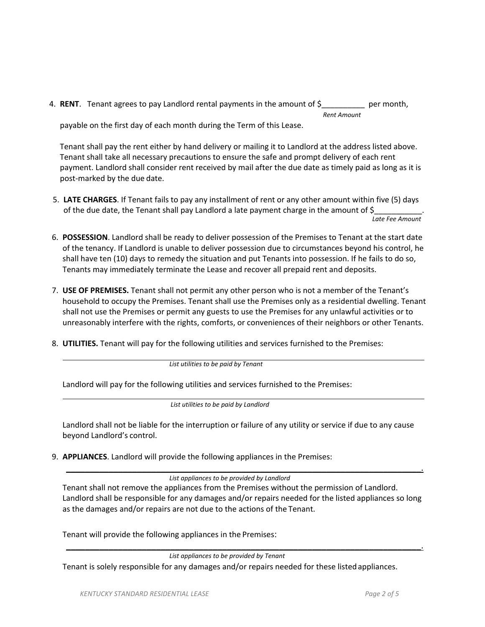4. **RENT**. Tenant agrees to pay Landlord rental payments in the amount of \$ per month, *Rent Amount*

payable on the first day of each month during the Term of this Lease.

Tenant shall pay the rent either by hand delivery or mailing it to Landlord at the address listed above. Tenant shall take all necessary precautions to ensure the safe and prompt delivery of each rent payment. Landlord shall consider rent received by mail after the due date as timely paid as long as it is post-marked by the due date.

5. **LATE CHARGES**. If Tenant fails to pay any installment of rent or any other amount within five (5) days of the due date, the Tenant shall pay Landlord a late payment charge in the amount of \$

 *Late Fee Amount*

- 6. **POSSESSION**. Landlord shall be ready to deliver possession of the Premises to Tenant at the start date of the tenancy. If Landlord is unable to deliver possession due to circumstances beyond his control, he shall have ten (10) days to remedy the situation and put Tenants into possession. If he fails to do so, Tenants may immediately terminate the Lease and recover all prepaid rent and deposits.
- 7. **USE OF PREMISES.** Tenant shall not permit any other person who is not a member of the Tenant's household to occupy the Premises. Tenant shall use the Premises only as a residential dwelling. Tenant shall not use the Premises or permit any guests to use the Premises for any unlawful activities or to unreasonably interfere with the rights, comforts, or conveniences of their neighbors or other Tenants.
- 8. **UTILITIES.** Tenant will pay for the following utilities and services furnished to the Premises:

 *List utilities to be paid by Tenant*

Landlord will pay for the following utilities and services furnished to the Premises:

 *List utilities to be paid by Landlord*

Landlord shall not be liable for the interruption or failure of any utility or service if due to any cause beyond Landlord's control.

9. **APPLIANCES**. Landlord will provide the following appliances in the Premises:

 $\mathcal{L}_\mathcal{L} = \mathcal{L}_\mathcal{L} = \mathcal{L}_\mathcal{L} = \mathcal{L}_\mathcal{L} = \mathcal{L}_\mathcal{L} = \mathcal{L}_\mathcal{L} = \mathcal{L}_\mathcal{L} = \mathcal{L}_\mathcal{L} = \mathcal{L}_\mathcal{L} = \mathcal{L}_\mathcal{L} = \mathcal{L}_\mathcal{L} = \mathcal{L}_\mathcal{L} = \mathcal{L}_\mathcal{L} = \mathcal{L}_\mathcal{L} = \mathcal{L}_\mathcal{L} = \mathcal{L}_\mathcal{L} = \mathcal{L}_\mathcal{L}$ *List appliances to be provided by Landlord*

Tenant shall not remove the appliances from the Premises without the permission of Landlord. Landlord shall be responsible for any damages and/or repairs needed for the listed appliances so long as the damages and/or repairs are not due to the actions of the Tenant.

\_\_\_\_\_\_\_\_\_\_\_\_\_\_\_\_\_\_\_\_\_\_\_\_\_\_\_\_\_\_\_\_\_\_\_\_\_\_\_\_\_\_\_\_\_\_\_\_\_\_\_\_\_\_\_\_\_\_\_\_\_\_\_\_\_\_\_\_\_\_\_\_\_\_\_.

Tenant will provide the following appliances in the Premises:

*List appliances to be provided by Tenant*

Tenant is solely responsible for any damages and/or repairs needed for these listed appliances.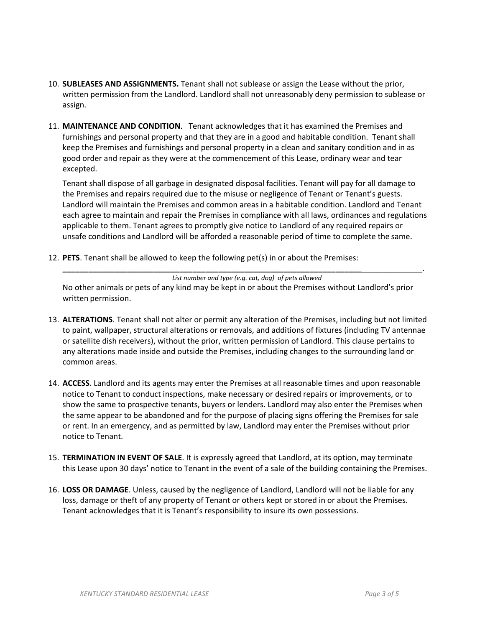- 10. **SUBLEASES AND ASSIGNMENTS.** Tenant shall not sublease or assign the Lease without the prior, written permission from the Landlord. Landlord shall not unreasonably deny permission to sublease or assign.
- 11. **MAINTENANCE AND CONDITION**. Tenant acknowledges that it has examined the Premises and furnishings and personal property and that they are in a good and habitable condition. Tenant shall keep the Premises and furnishings and personal property in a clean and sanitary condition and in as good order and repair as they were at the commencement of this Lease, ordinary wear and tear excepted.

Tenant shall dispose of all garbage in designated disposal facilities. Tenant will pay for all damage to the Premises and repairs required due to the misuse or negligence of Tenant or Tenant's guests. Landlord will maintain the Premises and common areas in a habitable condition. Landlord and Tenant each agree to maintain and repair the Premises in compliance with all laws, ordinances and regulations applicable to them. Tenant agrees to promptly give notice to Landlord of any required repairs or unsafe conditions and Landlord will be afforded a reasonable period of time to complete the same.

12. **PETS**. Tenant shall be allowed to keep the following pet(s) in or about the Premises:

*List number and type (e.g. cat, dog) of pets allowed* No other animals or pets of any kind may be kept in or about the Premises without Landlord's prior written permission.

**\_\_\_\_\_\_\_\_\_\_\_\_\_\_\_\_\_\_\_\_\_\_\_\_\_\_\_\_\_\_\_\_\_\_\_\_\_\_\_\_\_\_\_\_\_\_\_\_\_\_\_\_\_\_\_\_\_\_\_\_\_\_\_\_\_\_\_\_\_**\_\_\_\_\_\_\_\_\_\_\_\_\_\_.

- 13. **ALTERATIONS**. Tenant shall not alter or permit any alteration of the Premises, including but not limited to paint, wallpaper, structural alterations or removals, and additions of fixtures (including TV antennae or satellite dish receivers), without the prior, written permission of Landlord. This clause pertains to any alterations made inside and outside the Premises, including changes to the surrounding land or common areas.
- 14. **ACCESS**. Landlord and its agents may enter the Premises at all reasonable times and upon reasonable notice to Tenant to conduct inspections, make necessary or desired repairs or improvements, or to show the same to prospective tenants, buyers or lenders. Landlord may also enter the Premises when the same appear to be abandoned and for the purpose of placing signs offering the Premises for sale or rent. In an emergency, and as permitted by law, Landlord may enter the Premises without prior notice to Tenant.
- 15. **TERMINATION IN EVENT OF SALE**. It is expressly agreed that Landlord, at its option, may terminate this Lease upon 30 days' notice to Tenant in the event of a sale of the building containing the Premises.
- 16. **LOSS OR DAMAGE**. Unless, caused by the negligence of Landlord, Landlord will not be liable for any loss, damage or theft of any property of Tenant or others kept or stored in or about the Premises. Tenant acknowledges that it is Tenant's responsibility to insure its own possessions.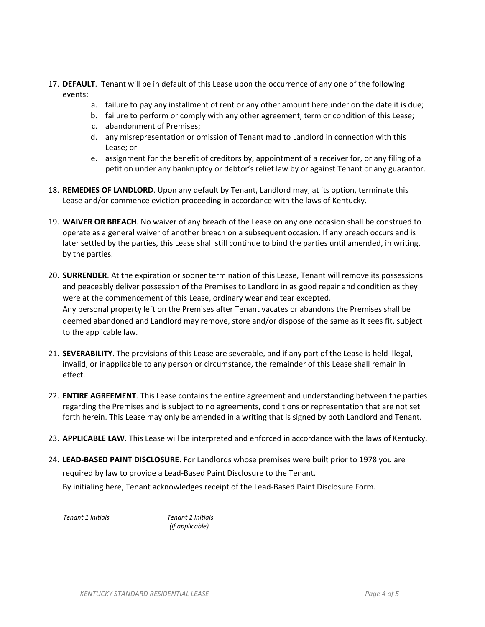- 17. **DEFAULT**. Tenant will be in default of this Lease upon the occurrence of any one of the following events:
	- a. failure to pay any installment of rent or any other amount hereunder on the date it is due;
	- b. failure to perform or comply with any other agreement, term or condition of this Lease;
	- c. abandonment of Premises;
	- d. any misrepresentation or omission of Tenant mad to Landlord in connection with this Lease; or
	- e. assignment for the benefit of creditors by, appointment of a receiver for, or any filing of a petition under any bankruptcy or debtor's relief law by or against Tenant or any guarantor.
- 18. **REMEDIES OF LANDLORD**. Upon any default by Tenant, Landlord may, at its option, terminate this Lease and/or commence eviction proceeding in accordance with the laws of Kentucky.
- 19. **WAIVER OR BREACH**. No waiver of any breach of the Lease on any one occasion shall be construed to operate as a general waiver of another breach on a subsequent occasion. If any breach occurs and is later settled by the parties, this Lease shall still continue to bind the parties until amended, in writing, by the parties.
- 20. **SURRENDER**. At the expiration or sooner termination of this Lease, Tenant will remove its possessions and peaceably deliver possession of the Premises to Landlord in as good repair and condition as they were at the commencement of this Lease, ordinary wear and tear excepted. Any personal property left on the Premises after Tenant vacates or abandons the Premises shall be deemed abandoned and Landlord may remove, store and/or dispose of the same as it sees fit, subject to the applicable law.
- 21. **SEVERABILITY**. The provisions of this Lease are severable, and if any part of the Lease is held illegal, invalid, or inapplicable to any person or circumstance, the remainder of this Lease shall remain in effect.
- 22. **ENTIRE AGREEMENT**. This Lease contains the entire agreement and understanding between the parties regarding the Premises and is subject to no agreements, conditions or representation that are not set forth herein. This Lease may only be amended in a writing that is signed by both Landlord and Tenant.
- 23. **APPLICABLE LAW**. This Lease will be interpreted and enforced in accordance with the laws of Kentucky.
- 24. **LEAD-BASED PAINT DISCLOSURE**. For Landlords whose premises were built prior to 1978 you are required by law to provide a Lead-Based Paint Disclosure to the Tenant. By initialing here, Tenant acknowledges receipt of the Lead-Based Paint Disclosure Form.

\_\_\_\_\_\_\_\_\_\_\_\_\_ \_\_\_\_\_\_\_\_\_\_\_\_\_  *Tenant 1 Initials Tenant 2 Initials (if applicable)*